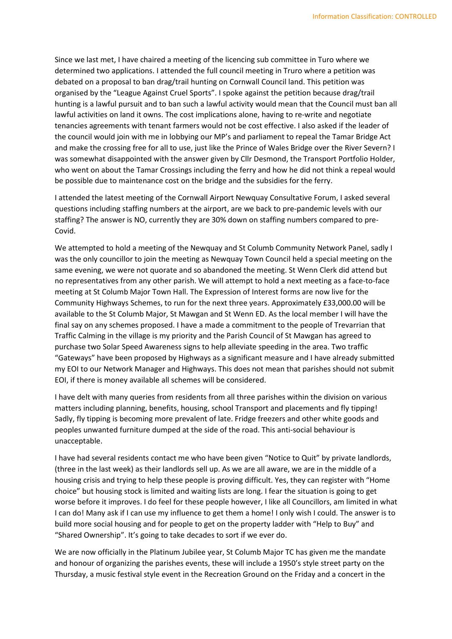Since we last met, I have chaired a meeting of the licencing sub committee in Turo where we determined two applications. I attended the full council meeting in Truro where a petition was debated on a proposal to ban drag/trail hunting on Cornwall Council land. This petition was organised by the "League Against Cruel Sports". I spoke against the petition because drag/trail hunting is a lawful pursuit and to ban such a lawful activity would mean that the Council must ban all lawful activities on land it owns. The cost implications alone, having to re-write and negotiate tenancies agreements with tenant farmers would not be cost effective. I also asked if the leader of the council would join with me in lobbying our MP's and parliament to repeal the Tamar Bridge Act and make the crossing free for all to use, just like the Prince of Wales Bridge over the River Severn? I was somewhat disappointed with the answer given by Cllr Desmond, the Transport Portfolio Holder, who went on about the Tamar Crossings including the ferry and how he did not think a repeal would be possible due to maintenance cost on the bridge and the subsidies for the ferry.

I attended the latest meeting of the Cornwall Airport Newquay Consultative Forum, I asked several questions including staffing numbers at the airport, are we back to pre-pandemic levels with our staffing? The answer is NO, currently they are 30% down on staffing numbers compared to pre-Covid.

We attempted to hold a meeting of the Newquay and St Columb Community Network Panel, sadly I was the only councillor to join the meeting as Newquay Town Council held a special meeting on the same evening, we were not quorate and so abandoned the meeting. St Wenn Clerk did attend but no representatives from any other parish. We will attempt to hold a next meeting as a face-to-face meeting at St Columb Major Town Hall. The Expression of Interest forms are now live for the Community Highways Schemes, to run for the next three years. Approximately £33,000.00 will be available to the St Columb Major, St Mawgan and St Wenn ED. As the local member I will have the final say on any schemes proposed. I have a made a commitment to the people of Trevarrian that Traffic Calming in the village is my priority and the Parish Council of St Mawgan has agreed to purchase two Solar Speed Awareness signs to help alleviate speeding in the area. Two traffic "Gateways" have been proposed by Highways as a significant measure and I have already submitted my EOI to our Network Manager and Highways. This does not mean that parishes should not submit EOI, if there is money available all schemes will be considered.

I have delt with many queries from residents from all three parishes within the division on various matters including planning, benefits, housing, school Transport and placements and fly tipping! Sadly, fly tipping is becoming more prevalent of late. Fridge freezers and other white goods and peoples unwanted furniture dumped at the side of the road. This anti-social behaviour is unacceptable.

I have had several residents contact me who have been given "Notice to Quit" by private landlords, (three in the last week) as their landlords sell up. As we are all aware, we are in the middle of a housing crisis and trying to help these people is proving difficult. Yes, they can register with "Home choice" but housing stock is limited and waiting lists are long. I fear the situation is going to get worse before it improves. I do feel for these people however, I like all Councillors, am limited in what I can do! Many ask if I can use my influence to get them a home! I only wish I could. The answer is to build more social housing and for people to get on the property ladder with "Help to Buy" and "Shared Ownership". It's going to take decades to sort if we ever do.

We are now officially in the Platinum Jubilee year, St Columb Major TC has given me the mandate and honour of organizing the parishes events, these will include a 1950's style street party on the Thursday, a music festival style event in the Recreation Ground on the Friday and a concert in the